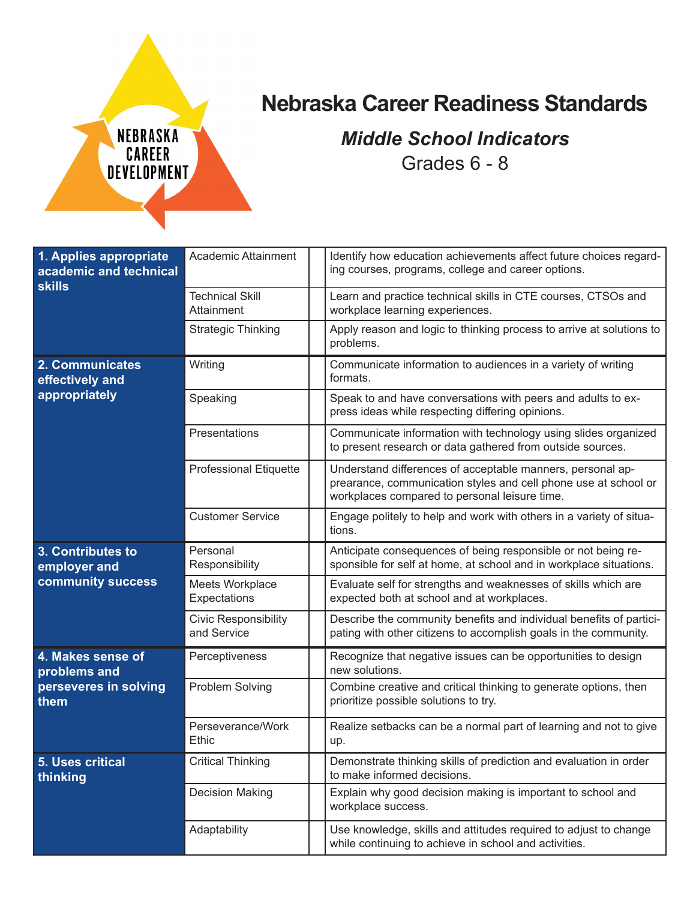

## **Nebraska Career Readiness Standards**

## *Middle School Indicators* Grades 6 - 8

| 1. Applies appropriate<br>academic and technical<br><b>skills</b> | Academic Attainment                        | Identify how education achievements affect future choices regard-<br>ing courses, programs, college and career options.                                                        |
|-------------------------------------------------------------------|--------------------------------------------|--------------------------------------------------------------------------------------------------------------------------------------------------------------------------------|
|                                                                   | <b>Technical Skill</b><br>Attainment       | Learn and practice technical skills in CTE courses, CTSOs and<br>workplace learning experiences.                                                                               |
|                                                                   | <b>Strategic Thinking</b>                  | Apply reason and logic to thinking process to arrive at solutions to<br>problems.                                                                                              |
| 2. Communicates<br>effectively and<br>appropriately               | Writing                                    | Communicate information to audiences in a variety of writing<br>formats.                                                                                                       |
|                                                                   | Speaking                                   | Speak to and have conversations with peers and adults to ex-<br>press ideas while respecting differing opinions.                                                               |
|                                                                   | Presentations                              | Communicate information with technology using slides organized<br>to present research or data gathered from outside sources.                                                   |
|                                                                   | <b>Professional Etiquette</b>              | Understand differences of acceptable manners, personal ap-<br>prearance, communication styles and cell phone use at school or<br>workplaces compared to personal leisure time. |
|                                                                   | <b>Customer Service</b>                    | Engage politely to help and work with others in a variety of situa-<br>tions.                                                                                                  |
| 3. Contributes to<br>employer and<br>community success            | Personal<br>Responsibility                 | Anticipate consequences of being responsible or not being re-<br>sponsible for self at home, at school and in workplace situations.                                            |
|                                                                   | Meets Workplace                            | Evaluate self for strengths and weaknesses of skills which are                                                                                                                 |
|                                                                   | Expectations                               | expected both at school and at workplaces.                                                                                                                                     |
|                                                                   | <b>Civic Responsibility</b><br>and Service | Describe the community benefits and individual benefits of partici-<br>pating with other citizens to accomplish goals in the community.                                        |
| 4. Makes sense of<br>problems and                                 | Perceptiveness                             | Recognize that negative issues can be opportunities to design<br>new solutions.                                                                                                |
| perseveres in solving<br>them                                     | Problem Solving                            | Combine creative and critical thinking to generate options, then<br>prioritize possible solutions to try.                                                                      |
|                                                                   | Perseverance/Work<br><b>Ethic</b>          | Realize setbacks can be a normal part of learning and not to give<br>up.                                                                                                       |
| 5. Uses critical<br>thinking                                      | <b>Critical Thinking</b>                   | Demonstrate thinking skills of prediction and evaluation in order<br>to make informed decisions.                                                                               |
|                                                                   | <b>Decision Making</b>                     | Explain why good decision making is important to school and<br>workplace success.                                                                                              |